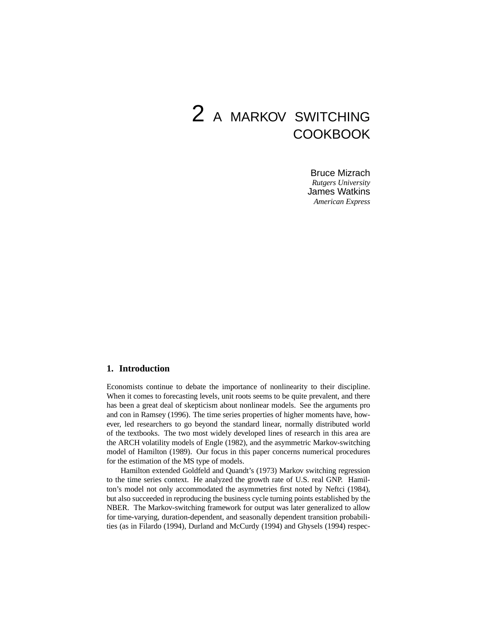# 2 A MARKOV SWITCHING COOKBOOK

Bruce Mizrach *Rutgers University* James Watkins *American Express*

## **1. Introduction**

Economists continue to debate the importance of nonlinearity to their discipline. When it comes to forecasting levels, unit roots seems to be quite prevalent, and there has been a great deal of skepticism about nonlinear models. See the arguments pro and con in Ramsey (1996). The time series properties of higher moments have, however, led researchers to go beyond the standard linear, normally distributed world of the textbooks. The two most widely developed lines of research in this area are the ARCH volatility models of Engle (1982), and the asymmetric Markov-switching model of Hamilton (1989). Our focus in this paper concerns numerical procedures for the estimation of the MS type of models.

Hamilton extended Goldfeld and Quandt's (1973) Markov switching regression to the time series context. He analyzed the growth rate of U.S. real GNP. Hamilton's model not only accommodated the asymmetries first noted by Neftci (1984), but also succeeded in reproducing the business cycle turning points established by the NBER. The Markov-switching framework for output was later generalized to allow for time-varying, duration-dependent, and seasonally dependent transition probabilities (as in Filardo (1994), Durland and McCurdy (1994) and Ghysels (1994) respec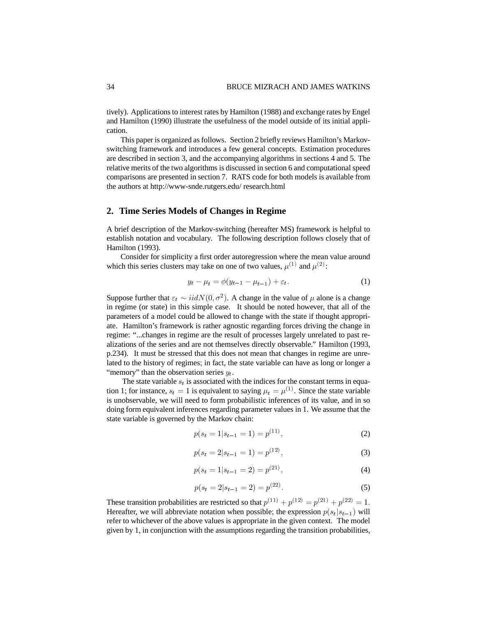tively). Applications to interest rates by Hamilton (1988) and exchange rates by Engel and Hamilton (1990) illustrate the usefulness of the model outside of its initial application.

This paper is organized as follows. Section 2 briefly reviews Hamilton's Markovswitching framework and introduces a few general concepts. Estimation procedures are described in section 3, and the accompanying algorithms in sections 4 and 5. The relative merits of the two algorithms is discussed in section 6 and computational speed comparisons are presented in section 7. RATS code for both models is available from the authors at http://www-snde.rutgers.edu/ research.html

## **2. Time Series Models of Changes in Regime**

A brief description of the Markov-switching (hereafter MS) framework is helpful to establish notation and vocabulary. The following description follows closely that of Hamilton (1993).

Consider for simplicity a first order autoregression where the mean value around which this series clusters may take on one of two values,  $\mu^{(1)}$  and  $\mu^{(2)}$ :

$$
y_t - \mu_t = \phi(y_{t-1} - \mu_{t-1}) + \varepsilon_t.
$$
 (1)

Suppose further that  $\varepsilon_t \sim \text{iid}N(0, \sigma^2)$ . A change in the value of  $\mu$  alone is a change in regime (or state) in this simple case. It should be noted however, that all of the parameters of a model could be allowed to change with the state if thought appropriate. Hamilton's framework is rather agnostic regarding forces driving the change in regime: "...changes in regime are the result of processes largely unrelated to past realizations of the series and are not themselves directly observable." Hamilton (1993, p.234). It must be stressed that this does not mean that changes in regime are unrelated to the history of regimes; in fact, the state variable can have as long or longer a "memory" than the observation series  $y_t$ .

The state variable  $s_t$  is associated with the indices for the constant terms in equation 1; for instance,  $s_t = 1$  is equivalent to saying  $\mu_t = \mu^{(1)}$ . Since the state variable is unobservable, we will need to form probabilistic inferences of its value, and in so doing form equivalent inferences regarding parameter values in 1. We assume that the state variable is governed by the Markov chain:

$$
p(s_t = 1|s_{t-1} = 1) = p^{(11)},
$$
\n(2)

$$
p(s_t = 2|s_{t-1} = 1) = p^{(12)},
$$
\n(3)

$$
p(s_t = 1|s_{t-1} = 2) = p^{(21)},
$$
\n(4)

$$
p(s_t = 2|s_{t-1} = 2) = p^{(22)}.
$$
\n(5)

These transition probabilities are restricted so that  $p^{(11)} + p^{(12)} = p^{(21)} + p^{(22)} = 1$ . Hereafter, we will abbreviate notation when possible; the expression  $p(s_t|s_{t-1})$  will refer to whichever of the above values is appropriate in the given context. The model given by 1, in conjunction with the assumptions regarding the transition probabilities,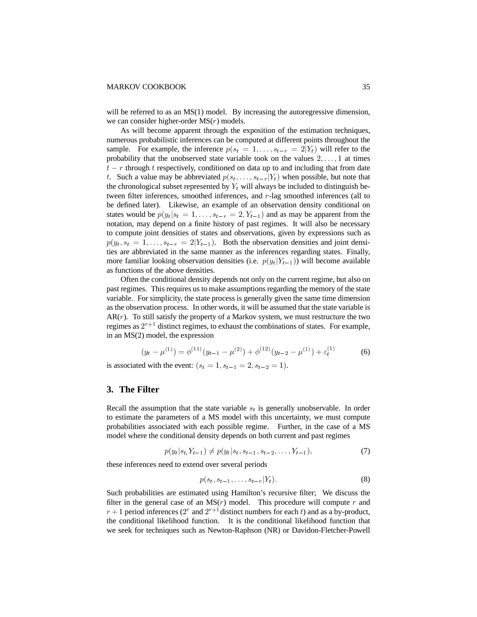will be referred to as an  $MS(1)$  model. By increasing the autoregressive dimension, we can consider higher-order  $MS(r)$  models.

As will become apparent through the exposition of the estimation techniques, numerous probabilistic inferences can be computed at different points throughout the sample. For example, the inference  $p(s_t = 1, \ldots, s_{t-r} = 2|Y_t)$  will refer to the probability that the unobserved state variable took on the values  $2, \ldots, 1$  at times  $t-r$  through t respectively, conditioned on data up to and including that from date t. Such a value may be abbreviated  $p(s_t, \ldots, s_{t-r}|Y_t)$  when possible, but note that the chronological subset represented by  $Y_t$  will always be included to distinguish between filter inferences, smoothed inferences, and  $r$ -lag smoothed inferences (all to be defined later). Likewise, an example of an observation density conditional on states would be  $p(y_t | s_t = 1, ..., s_{t-r} = 2, Y_{t-1})$  and as may be apparent from the notation, may depend on a finite history of past regimes. It will also be necessary to compute joint densities of states and observations, given by expressions such as  $p(y_t, s_t = 1, \ldots, s_{t-r} = 2|Y_{t-1})$ . Both the observation densities and joint densities are abbreviated in the same manner as the inferences regarding states. Finally, more familiar looking observation densities (i.e.  $p(y_t|Y_{t-1})$ ) will become available as functions of the above densities.

Often the conditional density depends not only on the current regime, but also on past regimes. This requires us to make assumptions regarding the memory of the state variable. For simplicity, the state process is generally given the same time dimension as the observation process. In other words, it will be assumed that the state variable is  $AR(r)$ . To still satisfy the property of a Markov system, we must restructure the two regimes as  $2^{r+1}$  distinct regimes, to exhaust the combinations of states. For example, in an  $MS(2)$  model, the expression

$$
(y_t - \mu^{(1)}) = \phi^{(11)}(y_{t-1} - \mu^{(2)}) + \phi^{(12)}(y_{t-2} - \mu^{(1)}) + \varepsilon_t^{(1)}
$$
(6)

is associated with the event:  $(s_t = 1, s_{t-1} = 2, s_{t-2} = 1)$ .

## **3. The Filter**

Recall the assumption that the state variable  $s_t$  is generally unobservable. In order to estimate the parameters of a MS model with this uncertainty, we must compute probabilities associated with each possible regime. Further, in the case of a MS model where the conditional density depends on both current and past regimes

$$
p(y_t|s_t, Y_{t-1}) \neq p(y_t|s_t, s_{t-1}, s_{t-2}, \dots, Y_{t-1}),
$$
\n<sup>(7)</sup>

these inferences need to extend over several periods

$$
p(s_t, s_{t-1}, \dots, s_{t-r} | Y_t). \tag{8}
$$

Such probabilities are estimated using Hamilton's recursive filter; We discuss the filter in the general case of an  $MS(r)$  model. This procedure will compute r and  $r+1$  period inferences (2<sup>r</sup> and  $2^{r+1}$  distinct numbers for each t) and as a by-product, the conditional likelihood function. It is the conditional likelihood function that we seek for techniques such as Newton-Raphson (NR) or Davidon-Fletcher-Powell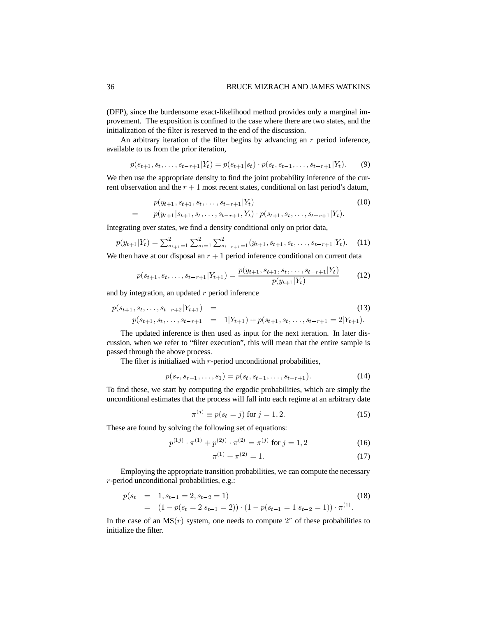(DFP), since the burdensome exact-likelihood method provides only a marginal improvement. The exposition is confined to the case where there are two states, and the initialization of the filter is reserved to the end of the discussion.

An arbitrary iteration of the filter begins by advancing an  $r$  period inference, available to us from the prior iteration,

$$
p(s_{t+1}, s_t, \ldots, s_{t-r+1} | Y_t) = p(s_{t+1} | s_t) \cdot p(s_t, s_{t-1}, \ldots, s_{t-r+1} | Y_t). \tag{9}
$$

We then use the appropriate density to find the joint probability inference of the current observation and the  $r + 1$  most recent states, conditional on last period's datum,

$$
p(y_{t+1}, s_{t+1}, s_t, \dots, s_{t-r+1} | Y_t)
$$
  
=  $p(y_{t+1} | s_{t+1}, s_t, \dots, s_{t-r+1}, Y_t) \cdot p(s_{t+1}, s_t, \dots, s_{t-r+1} | Y_t).$  (10)

Integrating over states, we find a density conditional only on prior data,  

$$
p(y_{t+1}|Y_t) = \sum_{s_{t+1}=1}^{2} \sum_{s_t=1}^{2} \sum_{s_{t-r+1}=1}^{2} (y_{t+1}, s_{t+1}, s_t, \dots, s_{t-r+1}|Y_t).
$$
 (11)

We then have at our disposal an  $r + 1$  period inference conditional on current data

$$
p(s_{t+1}, s_t, \dots, s_{t-r+1} | Y_{t+1}) = \frac{p(y_{t+1}, s_{t+1}, s_t, \dots, s_{t-r+1} | Y_t)}{p(y_{t+1} | Y_t)}
$$
(12)

and by integration, an updated  $r$  period inference

$$
p(s_{t+1}, s_t, \dots, s_{t-r+2} | Y_{t+1}) = p(s_{t+1}, s_t, \dots, s_{t-r+1} = 1 | Y_{t+1}) + p(s_{t+1}, s_t, \dots, s_{t-r+1} = 2 | Y_{t+1}).
$$
\n(13)

The updated inference is then used as input for the next iteration. In later discussion, when we refer to "filter execution", this will mean that the entire sample is passed through the above process.

The filter is initialized with  $r$ -period unconditional probabilities,

$$
p(s_r, s_{r-1}, \dots, s_1) = p(s_t, s_{t-1}, \dots, s_{t-r+1}).
$$
\n(14)

To find these, we start by computing the ergodic probabilities, which are simply the unconditional estimates that the process will fall into each regime at an arbitrary date

$$
\pi^{(j)} \equiv p(s_t = j) \text{ for } j = 1, 2. \tag{15}
$$

These are found by solving the following set of equations:

$$
p^{(1j)} \cdot \pi^{(1)} + p^{(2j)} \cdot \pi^{(2)} = \pi^{(j)} \text{ for } j = 1, 2
$$
 (16)

$$
\pi^{(1)} + \pi^{(2)} = 1.
$$
\n(17)

Employing the appropriate transition probabilities, we can compute the necessary  $r$ -period unconditional probabilities, e.g.:

$$
p(s_t = 1, s_{t-1} = 2, s_{t-2} = 1)
$$
  
=  $(1 - p(s_t = 2|s_{t-1} = 2)) \cdot (1 - p(s_{t-1} = 1|s_{t-2} = 1)) \cdot \pi^{(1)}$ . (18)

In the case of an  $MS(r)$  system, one needs to compute  $2<sup>r</sup>$  of these probabilities to initialize the filter.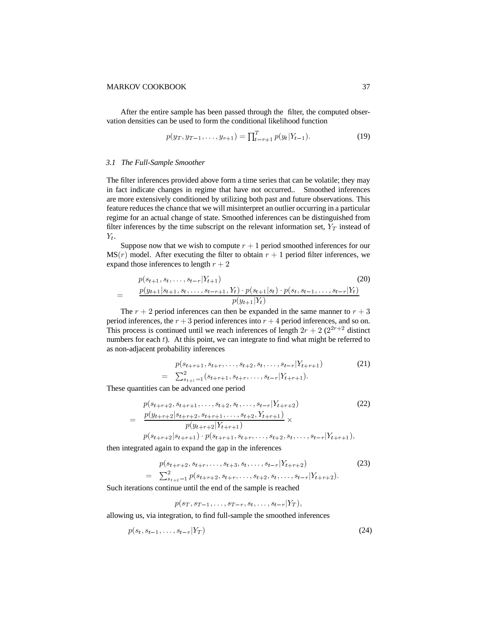After the entire sample has been passed through the filter, the computed observation densities can be used to form the conditional likelihood function

$$
p(y_T, y_{T-1}, \dots, y_{r+1}) = \prod_{t=r+1}^T p(y_t | Y_{t-1}).
$$
\n(19)

#### *3.1 The Full-Sample Smoother*

The filter inferences provided above form a time series that can be volatile; they may in fact indicate changes in regime that have not occurred.. Smoothed inferences are more extensively conditioned by utilizing both past and future observations. This feature reduces the chance that we will misinterpret an outlier occurring in a particular regime for an actual change of state. Smoothed inferences can be distinguished from filter inferences by the time subscript on the relevant information set,  $Y_T$  instead of  $Y_t$ .

Suppose now that we wish to compute  $r + 1$  period smoothed inferences for our  $MS(r)$  model. After executing the filter to obtain  $r + 1$  period filter inferences, we expand those inferences to length  $r + 2$ 

$$
p(s_{t+1}, s_t, \ldots, s_{t-r} | Y_{t+1})
$$
\n
$$
= \frac{p(y_{t+1}|s_{t+1}, s_t, \ldots, s_{t-r+1}, Y_t) \cdot p(s_{t+1}|s_t) \cdot p(s_t, s_{t-1}, \ldots, s_{t-r} | Y_t)}{p(y_{t+1}|Y_t)}
$$
\n
$$
(20)
$$

The  $r + 2$  period inferences can then be expanded in the same manner to  $r + 3$ period inferences, the  $r + 3$  period inferences into  $r + 4$  period inferences, and so on. This process is continued until we reach inferences of length  $2r + 2(2^{2r+2}$  distinct numbers for each  $t$ ). At this point, we can integrate to find what might be referred to as non-adjacent probability inferences

$$
p(s_{t+r+1}, s_{t+r}, \dots, s_{t+2}, s_t, \dots, s_{t-r} | Y_{t+r+1})
$$
\n
$$
= \sum_{s_{t+1}=1}^{2} (s_{t+r+1}, s_{t+r}, \dots, s_{t-r} | Y_{t+r+1}).
$$
\n(21)

These quantities can be advanced one period

$$
p(s_{t+r+2}, s_{t+r+1}, \dots, s_{t+2}, s_t, \dots, s_{t-r} | Y_{t+r+2})
$$
\n
$$
= \frac{p(y_{t+r+2}|s_{t+r+2}, s_{t+r+1}, \dots, s_{t+2}, Y_{t+r+1})}{p(y_{t+r+2}|Y_{t+r+1})} \times p(s_{t+r+2}|s_{t+r+1}) \cdot p(s_{t+r+1}, s_{t+r}, \dots, s_{t+2}, s_t, \dots, s_{t-r} | Y_{t+r+1}),
$$
\n(22)

then integrated again to expand the gap in the inferences

$$
p(s_{t+r+2}, s_{t+r}, \dots, s_{t+3}, s_t, \dots, s_{t-r} | Y_{t+r+2})
$$
\n
$$
= \sum_{s_{t+2}=1}^{2} p(s_{t+r+2}, s_{t+r}, \dots, s_{t+2}, s_t, \dots, s_{t-r} | Y_{t+r+2}).
$$
\n(23)

Such iterations continue until the end of the sample is reached

$$
p(s_T, s_{T-1}, \ldots, s_{T-r}, s_t, \ldots, s_{t-r}|Y_T),
$$

allowing us, via integration, to find full-sample the smoothed inferences

$$
p(s_t, s_{t-1}, \dots, s_{t-r} | Y_T) \tag{24}
$$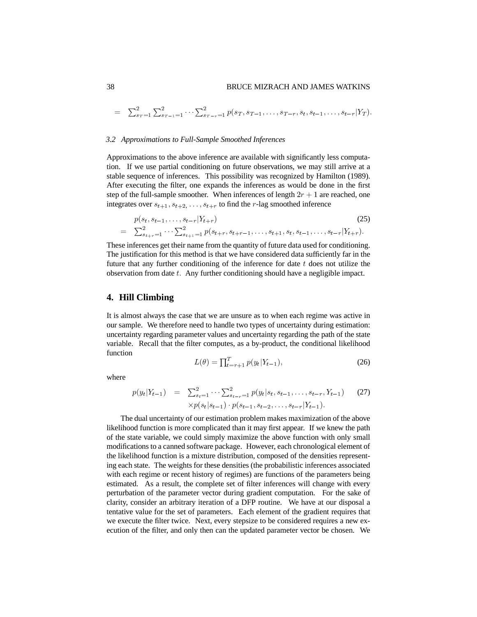$$
= \sum_{s}^{2} \sum_{r=1}^{2} \sum_{s}^{2} \cdots \sum_{s}^{2} \sum_{r=1}^{2} p(s_{T}, s_{T-1}, \ldots, s_{T-r}, s_{t}, s_{t-1}, \ldots, s_{t-r} | Y_{T}).
$$

#### *3.2 Approximations to Full-Sample Smoothed Inferences*

Approximations to the above inference are available with significantly less computation. If we use partial conditioning on future observations, we may still arrive at a stable sequence of inferences. This possibility was recognized by Hamilton (1989). After executing the filter, one expands the inferences as would be done in the first step of the full-sample smoother. When inferences of length  $2r + 1$  are reached, one integrates over  $s_{t+1}, s_{t+2}, \ldots, s_{t+r}$  to find the r-lag smoothed inference

$$
p(s_t, s_{t-1}, \dots, s_{t-r} | Y_{t+r})
$$
\n
$$
= \sum_{s_{t+r}=1}^{2} \cdots \sum_{s_{t+1}=1}^{2} p(s_{t+r}, s_{t+r-1}, \dots, s_{t+1}, s_t, s_{t-1}, \dots, s_{t-r} | Y_{t+r}).
$$
\n(25)

These inferences get their name from the quantity of future data used for conditioning. The justification for this method is that we have considered data sufficiently far in the future that any further conditioning of the inference for date  $t$  does not utilize the observation from date  $t$ . Any further conditioning should have a negligible impact.

## **4. Hill Climbing**

It is almost always the case that we are unsure as to when each regime was active in our sample. We therefore need to handle two types of uncertainty during estimation: uncertainty regarding parameter values and uncertainty regarding the path of the state variable. Recall that the filter computes, as a by-product, the conditional likelihood function

$$
L(\theta) = \prod_{t=r+1}^{T} p(y_t | Y_{t-1}),
$$
\n(26)

where

$$
p(y_t|Y_{t-1}) = \sum_{s_t=1}^2 \cdots \sum_{s_{t-r}=1}^2 p(y_t|s_t, s_{t-1}, \ldots, s_{t-r}, Y_{t-1})
$$
 (27)  

$$
\times p(s_t|s_{t-1}) \cdot p(s_{t-1}, s_{t-2}, \ldots, s_{t-r}|Y_{t-1}).
$$

The dual uncertainty of our estimation problem makes maximization of the above likelihood function is more complicated than it may first appear. If we knew the path of the state variable, we could simply maximize the above function with only small modifications to a canned software package. However, each chronological element of the likelihood function is a mixture distribution, composed of the densities representing each state. The weights for these densities (the probabilistic inferences associated with each regime or recent history of regimes) are functions of the parameters being estimated. As a result, the complete set of filter inferences will change with every perturbation of the parameter vector during gradient computation. For the sake of clarity, consider an arbitrary iteration of a DFP routine. We have at our disposal a tentative value for the set of parameters. Each element of the gradient requires that we execute the filter twice. Next, every stepsize to be considered requires a new execution of the filter, and only then can the updated parameter vector be chosen. We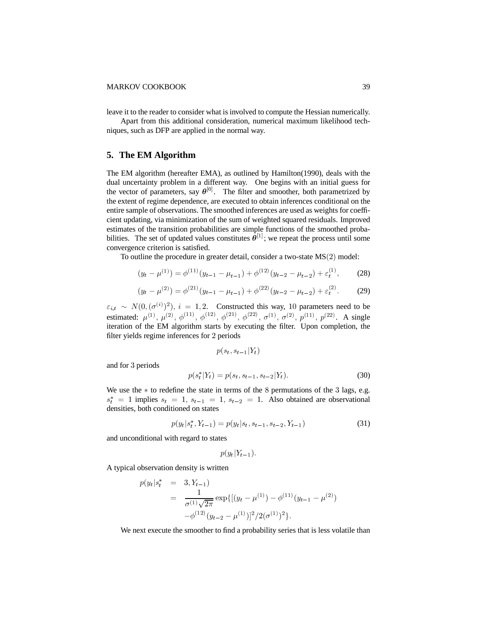leave it to the reader to consider what is involved to compute the Hessian numerically.

Apart from this additional consideration, numerical maximum likelihood techniques, such as DFP are applied in the normal way.

# **5. The EM Algorithm**

The EM algorithm (hereafter EMA), as outlined by Hamilton(1990), deals with the dual uncertainty problem in a different way. One begins with an initial guess for the vector of parameters, say  $\theta^{[0]}$ . The filter and smoother, both parametrized by the extent of regime dependence, are executed to obtain inferences conditional on the entire sample of observations. The smoothed inferences are used as weights for coefficient updating, via minimization of the sum of weighted squared residuals. Improved estimates of the transition probabilities are simple functions of the smoothed probabilities. The set of updated values constitutes  $\hat{\theta}^{[1]}$ ; we repeat the process until some convergence criterion is satisfied.

To outline the procedure in greater detail, consider a two-state  $MS(2)$  model:

$$
(y_t - \mu^{(1)}) = \phi^{(11)}(y_{t-1} - \mu_{t-1}) + \phi^{(12)}(y_{t-2} - \mu_{t-2}) + \varepsilon_t^{(1)},
$$
 (28)

$$
(y_t - \mu^{(2)}) = \phi^{(21)}(y_{t-1} - \mu_{t-1}) + \phi^{(22)}(y_{t-2} - \mu_{t-2}) + \varepsilon_t^{(2)}.
$$
 (29)

 $\varepsilon_{i,t} \sim N(0, (\sigma^{(i)})^2), i = 1, 2$ . Constructed this way, 10 parameters need to be estimated:  $\mu^{(1)}$ ,  $\mu^{(2)}$ ,  $\phi^{(11)}$ ,  $\phi^{(12)}$ ,  $\phi^{(21)}$ ,  $\phi^{(22)}$ ,  $\sigma^{(1)}$ ,  $\sigma^{(2)}$ ,  $p^{(11)}$ ,  $p^{(22)}$ . A single iteration of the EM algorithm starts by executing the filter. Upon completion, the filter yields regime inferences for 2 periods

$$
p(s_t, s_{t-1}|Y_t)
$$

and for 3 periods

$$
p(s_t^*|Y_t) = p(s_t, s_{t-1}, s_{t-2}|Y_t).
$$
\n(30)

We use the  $*$  to redefine the state in terms of the 8 permutations of the 3 lags, e.g.  $s_t^* = 1$  implies  $s_t = 1$ ,  $s_{t-1} = 1$ ,  $s_{t-2} = 1$ . Also obtained are observational densities, both conditioned on states

$$
p(y_t|s_t^*, Y_{t-1}) = p(y_t|s_t, s_{t-1}, s_{t-2}, Y_{t-1})
$$
\n(31)

and unconditional with regard to states

$$
p(y_t|Y_{t-1}).
$$

A typical observation density is written

$$
p(y_t|s_t^* = 3, Y_{t-1})
$$
  
= 
$$
\frac{1}{\sigma^{(1)}\sqrt{2\pi}} \exp\{[(y_t - \mu^{(1)}) - \phi^{(11)}(y_{t-1} - \mu^{(2)}) -\phi^{(12)}(y_{t-2} - \mu^{(1)})]^2/2(\sigma^{(1)})^2\}.
$$

We next execute the smoother to find a probability series that is less volatile than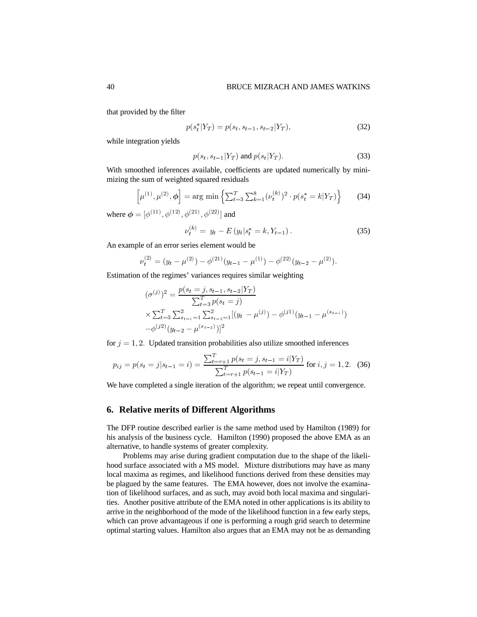that provided by the filter

$$
p(s_t^*|Y_T) = p(s_t, s_{t-1}, s_{t-2}|Y_T),
$$
\n(32)

while integration yields

$$
p(s_t, s_{t-1}|Y_T) \text{ and } p(s_t|Y_T). \tag{33}
$$

With smoothed inferences available, coefficients are updated numerically by minimizing the sum of weighted squared residuals

$$
\left[\mu^{(1)}, \mu^{(2)}, \phi\right] = \arg\min\left\{\sum_{t=3}^{T} \sum_{k=1}^{8} (\nu_t^{(k)})^2 \cdot p(s_t^* = k | Y_T) \right\} \tag{34}
$$

where  $\boldsymbol{\phi} = [\phi^{(11)}, \phi^{(12)}, \phi^{(21)}, \phi^{(22)}]$  and

$$
\nu_t^{(k)} = y_t - E(y_t|s_t^* = k, Y_{t-1}). \tag{35}
$$

An example of an error series element would be

$$
\nu_t^{(2)} = (y_t - \mu^{(2)}) - \phi^{(21)}(y_{t-1} - \mu^{(1)}) - \phi^{(22)}(y_{t-2} - \mu^{(2)}).
$$

Estimation of the regimes' variances requires similar weighting

$$
(\sigma^{(j)})^2 = \frac{p(s_t = j, s_{t-1}, s_{t-2} | Y_T)}{\sum_{t=3}^T p(s_t = j)}
$$
  
 
$$
\times \sum_{t=3}^T \sum_{s_{t-1}=1}^2 \sum_{s_{t-2}=1}^2 [(y_t - \mu^{(j)}) - \phi^{(j1)}(y_{t-1} - \mu^{(s_{t-1})})
$$
  
-
$$
\phi^{(j2)}(y_{t-2} - \mu^{(s_{t-2})})]^2
$$

for  $j = 1, 2$ . Updated transition probabilities also utilize smoothed inferences

$$
p_{ij} = p(s_t = j | s_{t-1} = i) = \frac{\sum_{t=r+1}^{T} p(s_t = j, s_{t-1} = i | Y_T)}{\sum_{t=r+1}^{T} p(s_{t-1} = i | Y_T)} \text{ for } i, j = 1, 2. \quad (36)
$$

We have completed a single iteration of the algorithm; we repeat until convergence.

### **6. Relative merits of Different Algorithms**

The DFP routine described earlier is the same method used by Hamilton (1989) for his analysis of the business cycle. Hamilton (1990) proposed the above EMA as an alternative, to handle systems of greater complexity.

Problems may arise during gradient computation due to the shape of the likelihood surface associated with a MS model. Mixture distributions may have as many local maxima as regimes, and likelihood functions derived from these densities may be plagued by the same features. The EMA however, does not involve the examination of likelihood surfaces, and as such, may avoid both local maxima and singularities. Another positive attribute of the EMA noted in other applications is its ability to arrive in the neighborhood of the mode of the likelihood function in a few early steps, which can prove advantageous if one is performing a rough grid search to determine optimal starting values. Hamilton also argues that an EMA may not be as demanding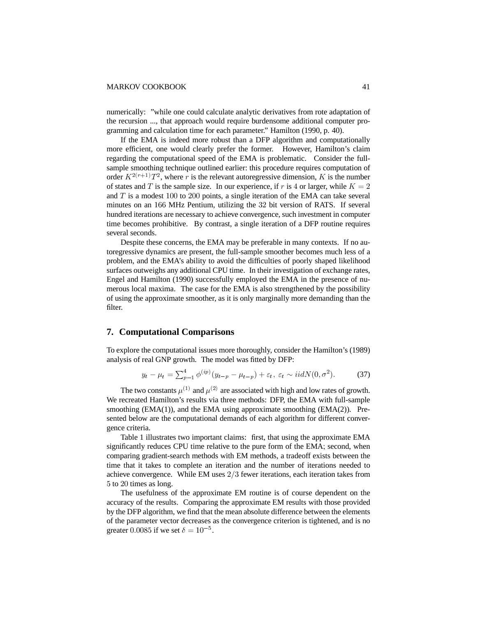numerically: "while one could calculate analytic derivatives from rote adaptation of the recursion ..., that approach would require burdensome additional computer programming and calculation time for each parameter." Hamilton (1990, p. 40).

If the EMA is indeed more robust than a DFP algorithm and computationally more efficient, one would clearly prefer the former. However, Hamilton's claim regarding the computational speed of the EMA is problematic. Consider the fullsample smoothing technique outlined earlier: this procedure requires computation of order  $K^{2(r+1)}T^2$ , where r is the relevant autoregressive dimension, K is the number of states and T is the sample size. In our experience, if r is 4 or larger, while  $K = 2$ and  $T$  is a modest 100 to 200 points, a single iteration of the EMA can take several minutes on an 166 MHz Pentium, utilizing the 32 bit version of RATS. If several hundred iterations are necessary to achieve convergence, such investment in computer time becomes prohibitive. By contrast, a single iteration of a DFP routine requires several seconds.

Despite these concerns, the EMA may be preferable in many contexts. If no autoregressive dynamics are present, the full-sample smoother becomes much less of a problem, and the EMA's ability to avoid the difculties of poorly shaped likelihood surfaces outweighs any additional CPU time. In their investigation of exchange rates, Engel and Hamilton (1990) successfully employed the EMA in the presence of numerous local maxima. The case for the EMA is also strengthened by the possibility of using the approximate smoother, as it is only marginally more demanding than the filter.

## **7. Computational Comparisons**

To explore the computational issues more thoroughly, consider the Hamilton's (1989) analysis of real GNP growth. The model was fitted by DFP:

$$
y_t - \mu_t = \sum_{p=1}^4 \phi^{(ip)}(y_{t-p} - \mu_{t-p}) + \varepsilon_t, \ \varepsilon_t \sim \text{iidN}(0, \sigma^2). \tag{37}
$$

The two constants  $\mu^{(1)}$  and  $\mu^{(2)}$  are associated with high and low rates of growth. We recreated Hamilton's results via three methods: DFP, the EMA with full-sample smoothing (EMA(1)), and the EMA using approximate smoothing (EMA(2)). Presented below are the computational demands of each algorithm for different convergence criteria.

Table 1 illustrates two important claims: first, that using the approximate EMA significantly reduces CPU time relative to the pure form of the EMA; second, when comparing gradient-search methods with EM methods, a tradeoff exists between the time that it takes to complete an iteration and the number of iterations needed to achieve convergence. While EM uses  $2/3$  fewer iterations, each iteration takes from 5 to 20 times as long.

The usefulness of the approximate EM routine is of course dependent on the accuracy of the results. Comparing the approximate EM results with those provided by the DFP algorithm, we find that the mean absolute difference between the elements of the parameter vector decreases as the convergence criterion is tightened, and is no greater 0.0085 if we set  $\delta = 10^{-5}$ .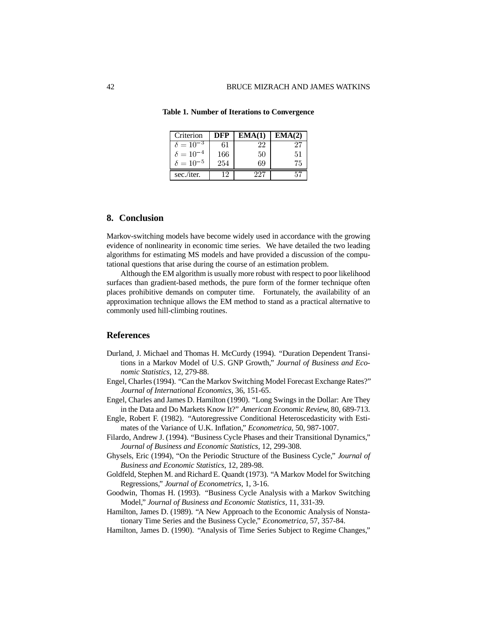| Criterion          |     |     | IA(2) |
|--------------------|-----|-----|-------|
| $\delta = 10^{-3}$ | 61  | 22  | 27    |
| $\delta = 10^{-4}$ | 166 | 50  | 51    |
| $\delta = 10^{-5}$ | 254 | 69  | 75    |
| sec./iter.         | 19  | 727 | 57    |

**Table 1. Number of Iterations to Convergence**

## **8. Conclusion**

Markov-switching models have become widely used in accordance with the growing evidence of nonlinearity in economic time series. We have detailed the two leading algorithms for estimating MS models and have provided a discussion of the computational questions that arise during the course of an estimation problem.

Although the EM algorithm is usually more robust with respect to poor likelihood surfaces than gradient-based methods, the pure form of the former technique often places prohibitive demands on computer time. Fortunately, the availability of an approximation technique allows the EM method to stand as a practical alternative to commonly used hill-climbing routines.

## **References**

- Durland, J. Michael and Thomas H. McCurdy (1994). "Duration Dependent Transitions in a Markov Model of U.S. GNP Growth," *Journal of Business and Economic Statistics,* 12, 279-88.
- Engel, Charles (1994). "Can the Markov Switching Model Forecast Exchange Rates?" *Journal of International Economics,* 36, 151-65.
- Engel, Charles and James D. Hamilton (1990). "Long Swings in the Dollar: Are They in the Data and Do Markets Know It?" *American Economic Review,* 80, 689-713.
- Engle, Robert F. (1982). "Autoregressive Conditional Heteroscedasticity with Estimates of the Variance of U.K. Inflation," *Econometrica*, 50, 987-1007.
- Filardo, Andrew J. (1994). "Business Cycle Phases and their Transitional Dynamics," *Journal of Business and Economic Statistics,* 12, 299-308.
- Ghysels, Eric (1994), "On the Periodic Structure of the Business Cycle," *Journal of Business and Economic Statistics,* 12, 289-98.
- Goldfeld, Stephen M. and Richard E. Quandt (1973). "A Markov Model for Switching Regressions," *Journal of Econometrics,* 1, 3-16.
- Goodwin, Thomas H. (1993). "Business Cycle Analysis with a Markov Switching Model," *Journal of Business and Economic Statistics,* 11, 331-39.
- Hamilton, James D. (1989). "A New Approach to the Economic Analysis of Nonstationary Time Series and the Business Cycle," *Econometrica,* 57, 357-84.
- Hamilton, James D. (1990). "Analysis of Time Series Subject to Regime Changes,"